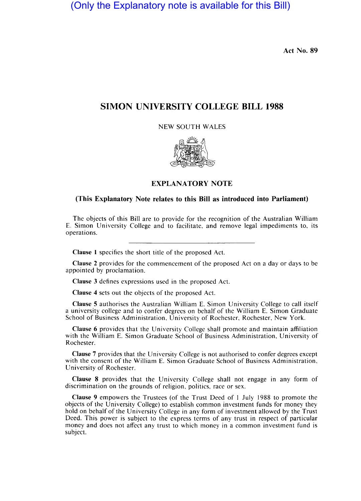(Only the Explanatory note is available for this Bill)

**Act** No. **89** 

## **SIMON UNIVERSITY COLLEGE BILL 1988**

NEW SOUTH WALES



## **EXPLANATORY NOTE**

## **(This Explanatory Note relates to this Bill as introduced into Parliament)**

The objects of this Bill are to provide for the recognition of the Australian William E. Simon University College and to facilitate, and remove legal impediments to, its operations.

Clause 1 specifies the short title of the proposed Act.

Clause 2 provides for the commencement of the proposed Act on a day or days to be appointed by proclamation.

Clause 3 defines expressions used in the proposed Act.

Clause 4 sets out the objects of the proposed Act.

Clause 5 authorises the Australian William E. Simon University College to call itself a university college and to confer degrees on behalf of the William E. Simon Graduate School of Business Administration, University of Rochester, Rochester, New York.

Clause 6 provides that the University College shall promote and maintain affiliation with the William E. Simon Graduate School of Business Administration, University of Rochester.

Clause 7 provides that the University College is not authorised to confer degrees except with the consent of the William E. Simon Graduate School of Business Administration, University of Rochester.

Clause 8 provides that the University College shall not engage in any form of discrimination on the grounds of religion, politics, race or sex.

Clause 9 empowers the Trustees (of the Trust Deed of 1 July 1988 to promote the objects of the University College) to establish common investment funds for money they hold on behalf of the University College in any form of investment allowed by the Trust Deed. This power is subject to the express terms of any trust in respect of particular money and does not affect any trust to which money in a common investment fund is subject.